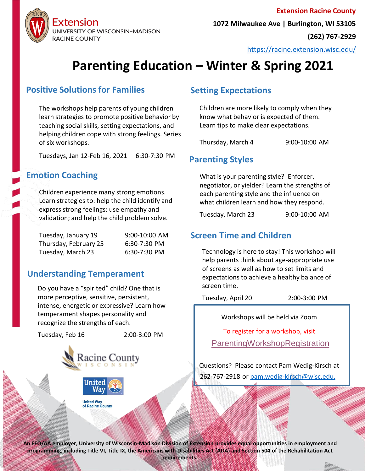

<https://racine.extension.wisc.edu/>

# **Parenting Education – Winter & Spring 2021**

### **Positive Solutions for Families**

The workshops help parents of young children learn strategies to promote positive behavior by teaching social skills, setting expectations, and helping children cope with strong feelings. Series of six workshops.

Tuesdays, Jan 12-Feb 16, 2021 6:30-7:30 PM

### **Emotion Coaching**

Children experience many strong emotions. Learn strategies to: help the child identify and express strong feelings; use empathy and validation; and help the child problem solve.

| Tuesday, January 19   | 9:00-10:00 AM |
|-----------------------|---------------|
| Thursday, February 25 | 6:30-7:30 PM  |
| Tuesday, March 23     | 6:30-7:30 PM  |

### **Understanding Temperament**

Do you have a "spirited" child? One that is more perceptive, sensitive, persistent, intense, energetic or expressive? Learn how temperament shapes personality and recognize the strengths of each.

Tuesday, Feb 16 2:00-3:00 PM





**United Way** of Racine County

### **Setting Expectations**

Children are more likely to comply when they know what behavior is expected of them. Learn tips to make clear expectations.

Thursday, March 4 9:00-10:00 AM

## **Parenting Styles**

What is your parenting style? Enforcer, negotiator, or yielder? Learn the strengths of each parenting style and the influence on what children learn and how they respond.

Tuesday, March 23 9:00-10:00 AM

### **Screen Time and Children**

Technology is here to stay! This workshop will help parents think about age-appropriate use of screens as well as how to set limits and expectations to achieve a healthy balance of screen time.

Tuesday, April 20 2:00-3:00 PM

Workshops will be held via Zoom

To register for a workshop, visit [ParentingWorkshopRegistration](https://uwmadison.co1.qualtrics.com/jfe/form/SV_5cf95HYoTZIcTQ1)

Questions? Please contact Pam Wedig-Kirsch at 262-767-2918 or [pam.wedig-kirsch@wisc.edu.](mailto:pam.wedig-kirsch@wisc.edu)

**An EEO/AA employer, University of Wisconsin-Madison Division of Extension provides equal opportunities in employment and programming, including Title VI, Title IX, the Americans with Disabilities Act (ADA) and Section 504 of the Rehabilitation Act requirements.**